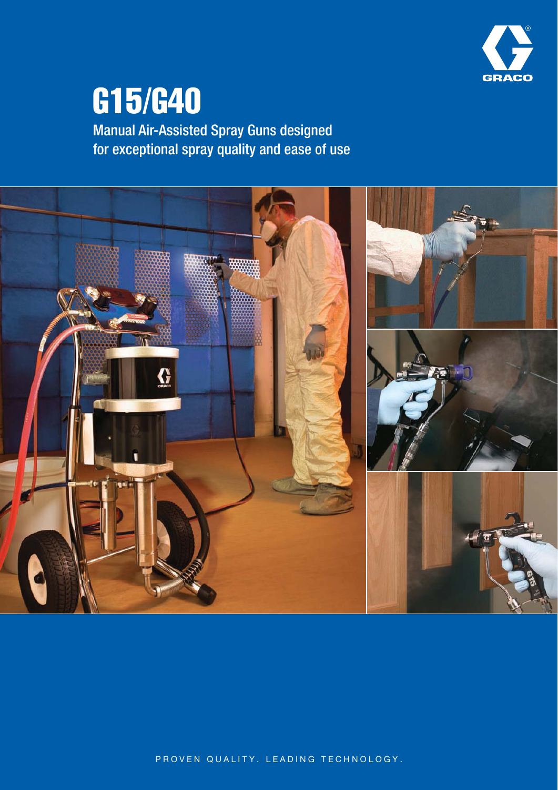

# G15/G40

Manual Air-Assisted Spray Guns designed for exceptional spray quality and ease of use



PROVEN QUALITY. LEADING TECHNOLOGY.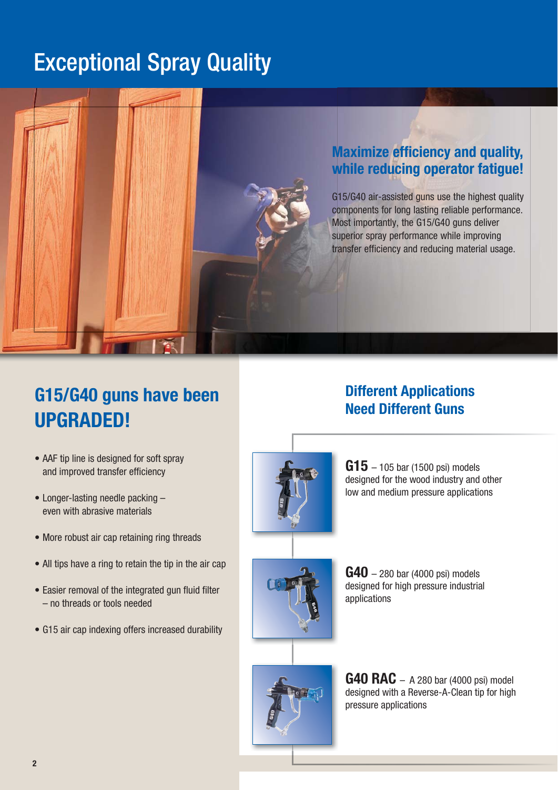# Exceptional Spray Quality

## **Maximize efficiency and quality, while reducing operator fatigue!**

G15/G40 air-assisted guns use the highest quality components for long lasting reliable performance. Most importantly, the G15/G40 guns deliver superior spray performance while improving transfer efficiency and reducing material usage.

# **G15/G40 guns have been UPGRADED!**

- AAF tip line is designed for soft spray and improved transfer efficiency
- $\bullet$  Longer-lasting needle packing  $$ even with abrasive materials
- More robust air cap retaining ring threads
- All tips have a ring to retain the tip in the air cap
- Easier removal of the integrated gun fluid filter – no threads or tools needed
- G15 air cap indexing offers increased durability

# **Different Applications Need Different Guns**



**G15** – 105 bar (1500 psi) models designed for the wood industry and other low and medium pressure applications





**G40** – 280 bar (4000 psi) models designed for high pressure industrial applications

**G40 RAC** – A 280 bar (4000 psi) model designed with a Reverse-A-Clean tip for high pressure applications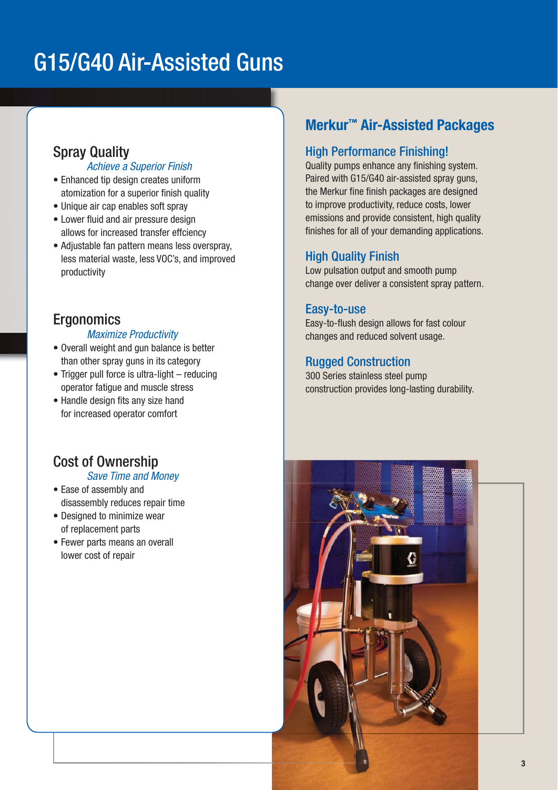# G15/G40 Air-Assisted Guns

# Spray Quality

### Achieve a Superior Finish

- Enhanced tip design creates uniform atomization for a superior finish quality
- Unique air cap enables soft spray
- Lower fluid and air pressure design allows for increased transfer effciency
- Adjustable fan pattern means less overspray, less material waste, less VOC's, and improved productivity

# **Ergonomics**

### Maximize Productivity

- Overall weight and gun balance is better than other spray guns in its category
- Trigger pull force is ultra-light  $-$  reducing operator fatigue and muscle stress
- Handle design fits any size hand for increased operator comfort

## Cost of Ownership

### Save Time and Money

- Ease of assembly and disassembly reduces repair time
- Designed to minimize wear of replacement parts
- Fewer parts means an overall lower cost of repair

# **Merkur™ Air-Assisted Packages**

## High Performance Finishing!

Quality pumps enhance any finishing system. Paired with G15/G40 air-assisted spray guns, the Merkur fine finish packages are designed to improve productivity, reduce costs, lower emissions and provide consistent, high quality finishes for all of your demanding applications.

## High Quality Finish

Low pulsation output and smooth pump change over deliver a consistent spray pattern.

### Easy-to-use

Easy-to-flush design allows for fast colour changes and reduced solvent usage.

## Rugged Construction

300 Series stainless steel pump construction provides long-lasting durability.

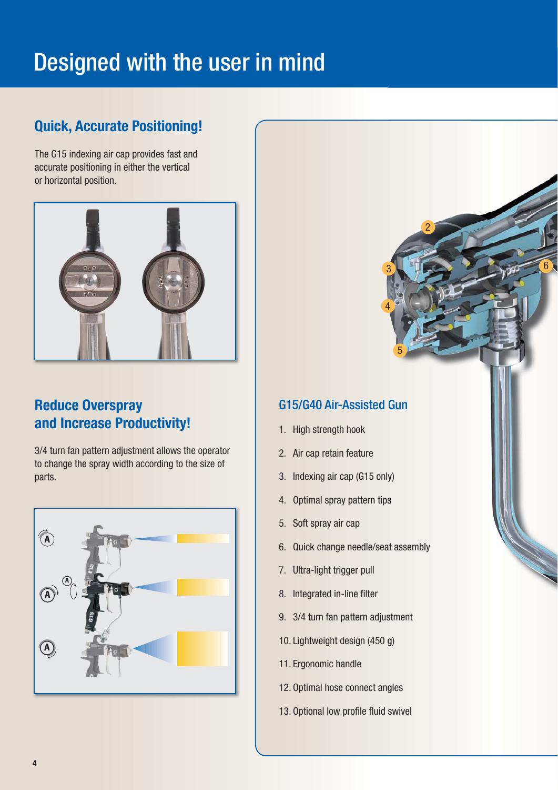# Designed with the user in mind

# **Quick, Accurate Positioning!**

The G15 indexing air cap provides fast and accurate positioning in either the vertical or horizontal position.



# **Reduce Overspray and Increase Productivity!**

3/4 turn fan pattern adjustment allows the operator to change the spray width according to the size of parts.



## G15/G40 Air-Assisted Gun

3

6

4

5

- 1. High strength hook
- 2. Air cap retain feature
- 3. Indexing air cap (G15 only)
- 4. Optimal spray pattern tips
- 5. Soft spray air cap
- 6. Quick change needle/seat assembly ps<br>at assembly<br>ustment<br>J g) 1<br>
HMFT<br>
HMFT<br>
States (SQL)<br>
States (SQL)<br>
States (SQL)<br>
States (SQL)<br>
States (SQL)<br>
States (SQL)<br>
States (SQL)<br>
SQL (SQL)<br>
SQL (SQL)<br>
SQL)<br>
SQL (SQL)<br>
SQL (SQL)<br>
SQL)<br>
SQL (SQL)<br>
SQL (SQL)<br>
SQL)<br>
SQL (SQL)<br>
SQL)<br>
SQL (SQL
- 7. Ultra-light trigger pull
- 8. Integrated in-line filter
- 9. 3/4 turn fan pattern adjustment
- 10. Lightweight design (450 g)
- 11. Ergonomic handle
- 12. Optimal hose connect angles
- 13. Optional low profile fluid swivel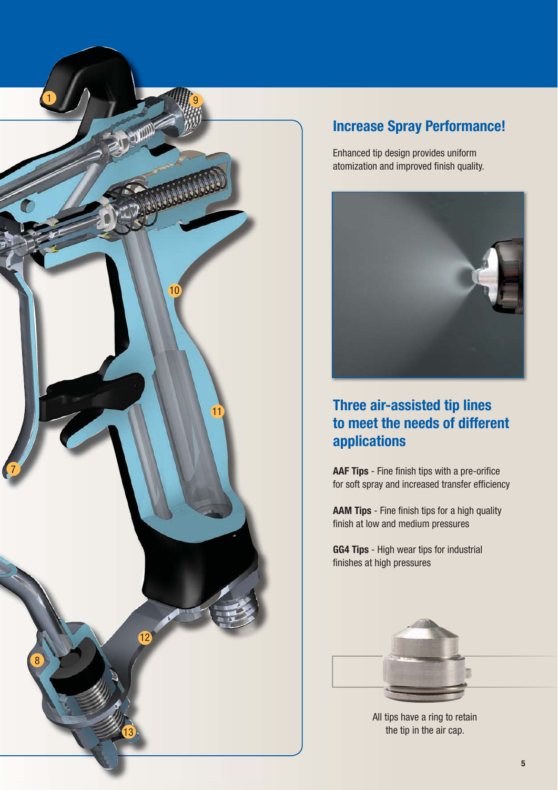

# **Increase Spray Performance!**

Enhanced tip design provides uniform atomization and improved finish quality.



# **Three air-assisted tip lines to meet the needs of different applications**

**AAF Tips** - Fine finish tips with a pre-orifice for soft spray and increased transfer efficiency

**AAM Tips** - Fine finish tips for a high quality finish at low and medium pressures

**GG4 Tips** - High wear tips for industrial finishes at high pressures



All tips have a ring to retain the tip in the air cap.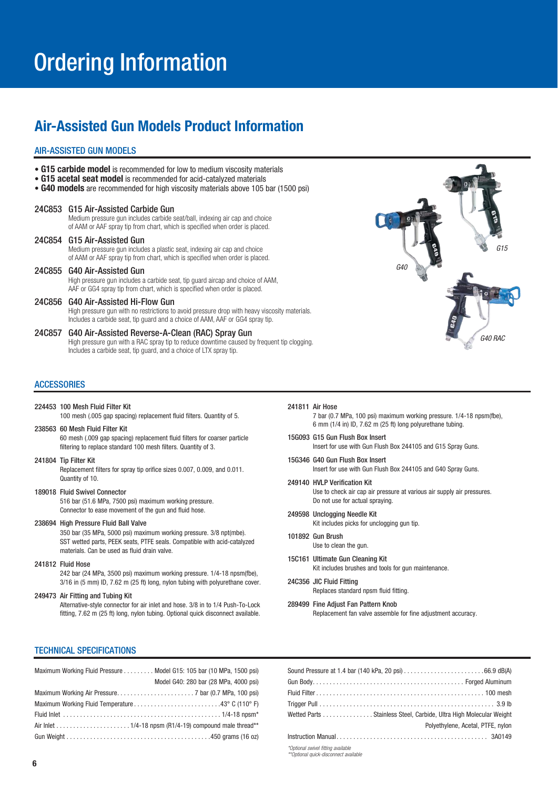# Ordering Information

## **Air-Assisted Gun Models Product Information**

#### AIR-ASSISTED GUN MODELS

- **G15 carbide model** is recommended for low to medium viscosity materials
- G15 acetal seat model is recommended for acid-catalyzed materials
- **G40 models** are recommended for high viscosity materials above 105 bar (1500 psi)

#### 24C853 G15 Air-Assisted Carbide Gun

 Medium pressure gun includes carbide seat/ball, indexing air cap and choice of AAM or AAF spray tip from chart, which is specified when order is placed.

### 24C854 G15 Air-Assisted Gun

 Medium pressure gun includes a plastic seat, indexing air cap and choice of AAM or AAF spray tip from chart, which is specified when order is placed.

24C855 G40 Air-Assisted Gun High pressure gun includes a carbide seat, tip guard aircap and choice of AAM, AAF or GG4 spray tip from chart, which is specified when order is placed.

#### 24C856 G40 Air-Assisted Hi-Flow Gun High pressure gun with no restrictions to avoid pressure drop with heavy viscosity materials. Includes a carbide seat, tip guard and a choice of AAM, AAF or GG4 spray tip.

24C857 G40 Air-Assisted Reverse-A-Clean (RAC) Spray Gun High pressure gun with a RAC spray tip to reduce downtime caused by frequent tip clogging. Includes a carbide seat, tip guard, and a choice of LTX spray tip.

#### **ACCESSORIES**

#### 224453 100 Mesh Fluid Filter Kit

100 mesh (.005 gap spacing) replacement fluid filters. Quantity of 5.

#### 238563 60 Mesh Fluid Filter Kit

60 mesh (.009 gap spacing) replacement fluid filters for coarser particle filtering to replace standard 100 mesh filters. Quantity of 3.

#### 241804 Tip Filter Kit

Replacement filters for spray tip orifice sizes 0.007, 0.009, and 0.011. Quantity of 10.

#### 189018 Fluid Swivel Connector

516 bar (51.6 MPa, 7500 psi) maximum working pressure. Connector to ease movement of the gun and fluid hose.

#### 238694 High Pressure Fluid Ball Valve

350 bar (35 MPa, 5000 psi) maximum working pressure. 3/8 npt(mbe). SST wetted parts, PEEK seats, PTFE seals. Compatible with acid-catalyzed materials. Can be used as fluid drain valve.

#### 241812 Fluid Hose

242 bar (24 MPa, 3500 psi) maximum working pressure. 1/4-18 npsm(fbe), 3/16 in (5 mm) ID, 7.62 m (25 ft) long, nylon tubing with polyurethane cover.

#### 249473 Air Fitting and Tubing Kit

Alternative-style connector for air inlet and hose. 3/8 in to 1/4 Push-To-Lock fitting, 7.62 m (25 ft) long, nylon tubing. Optional quick disconnect available.

G40  $615$ G40 RAC

#### 241811 Air Hose

7 bar (0.7 MPa, 100 psi) maximum working pressure. 1/4-18 npsm(fbe),  $6$  mm  $(1/4$  in) ID,  $7.62$  m  $(25$  ft) long polyurethane tubing.

- 15G093 G15 Gun Flush Box Insert Insert for use with Gun Flush Box 244105 and G15 Spray Guns.
- 15G346 G40 Gun Flush Box Insert Insert for use with Gun Flush Box 244105 and G40 Spray Guns.
- 249140 HVLP Verification Kit Use to check air cap air pressure at various air supply air pressures. Do not use for actual spraying.
- 249598 Unclogging Needle Kit Kit includes picks for unclogging gun tip.
- 101892 Gun Brush Use to clean the gun.
- 15C161 Ultimate Gun Cleaning Kit Kit includes brushes and tools for gun maintenance.
- 24C356 JIC Fluid Fitting Replaces standard npsm fluid fitting.
- 289499 Fine Adjust Fan Pattern Knob Replacement fan valve assemble for fine adjustment accuracy.

#### TECHNICAL SPECIFICATIONS

| Maximum Working Fluid Pressure Model G15: 105 bar (10 MPa, 1500 psi)                                       |
|------------------------------------------------------------------------------------------------------------|
| Model G40: 280 bar (28 MPa, 4000 psi)                                                                      |
|                                                                                                            |
|                                                                                                            |
|                                                                                                            |
| Air Inlet $\ldots \ldots \ldots \ldots \ldots \ldots \ldots 1/4$ -18 npsm (R1/4-19) compound male thread** |
|                                                                                                            |

|                                                                             | Wetted Parts Stainless Steel, Carbide, Ultra High Molecular Weight |
|-----------------------------------------------------------------------------|--------------------------------------------------------------------|
|                                                                             | Polvethylene, Acetal, PTFE, nylon                                  |
|                                                                             |                                                                    |
| *Optional swivel fitting available<br>**Optional quick-disconnect available |                                                                    |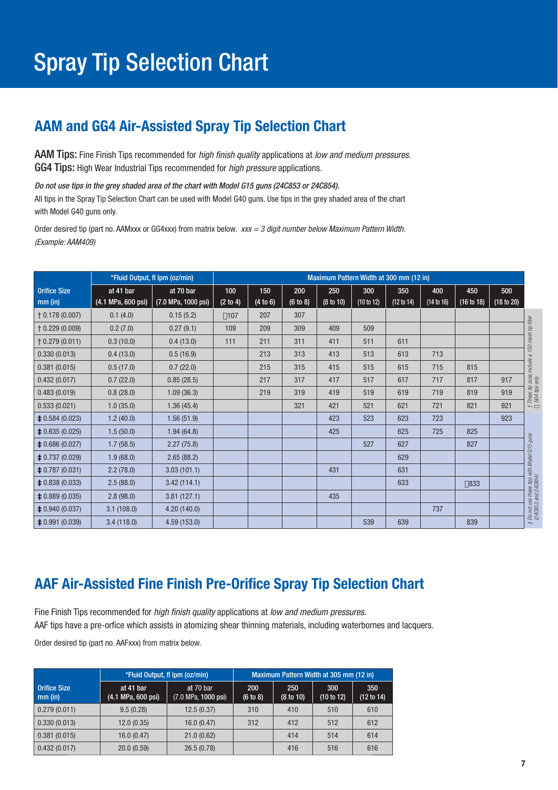# **AAM and GG4 Air-Assisted Spray Tip Selection Chart**

AAM Tips: Fine Finish Tips recommended for *high finish quality* applications at *low and medium pressures.* GG4 Tips: High Wear Industrial Tips recommended for *high pressure* applications.

Do not use tips in the grey shaded area of the chart with Model G15 guns (24C853 or 24C854).

All tips in the Spray Tip Selection Chart can be used with Model G40 guns. Use tips in the grey shaded area of the chart with Model G40 guns only.

Order desired tip (part no. AAMxxx or GG4xxx) from matrix below. *xxx = 3 digit number below Maximum Pattern Width.* (Example: AAM409)

|                          |                    | *Fluid Output, fl Ipm (oz/min) | Maximum Pattern Width at 300 mm (12 in) |          |          |           |            |            |            |               |            |                                                                     |
|--------------------------|--------------------|--------------------------------|-----------------------------------------|----------|----------|-----------|------------|------------|------------|---------------|------------|---------------------------------------------------------------------|
| <b>Orifice Size</b>      | at 41 bar          | at 70 bar                      | 100                                     | 150      | 200      | 250       | 300        | 350        | 400        | 450           | 500        |                                                                     |
| $mm$ (in)                | (4.1 MPa, 600 psi) | (7.0 MPa, 1000 psi)            | (2 to 4)                                | (4 to 6) | (6 to 8) | (8 to 10) | (10 to 12) | (12 to 14) | (14 to 16) | (16 to 18)    | (18 to 20) |                                                                     |
| $\uparrow$ 0.178 (0.007) | 0.1(4.0)           | 0.15(5.2)                      | $\Box$ 107                              | 207      | 307      |           |            |            |            |               |            |                                                                     |
| $\uparrow$ 0.229 (0.009) | 0.2(7.0)           | 0.27(9.1)                      | 109                                     | 209      | 309      | 409       | 509        |            |            |               |            |                                                                     |
| $\uparrow$ 0.279 (0.011) | 0.3(10.0)          | 0.4(13.0)                      | 111                                     | 211      | 311      | 411       | 511        | 611        |            |               |            |                                                                     |
| 0.330(0.013)             | 0.4(13.0)          | 0.5(16.9)                      |                                         | 213      | 313      | 413       | 513        | 613        | 713        |               |            |                                                                     |
| 0.381(0.015)             | 0.5(17.0)          | 0.7(22.0)                      |                                         | 215      | 315      | 415       | 515        | 615        | 715        | 815           |            | † These tip sizes include a 150 mesh tip filter.<br>□ GG4 tips only |
| 0.432(0.017)             | 0.7(22.0)          | 0.85(28.5)                     |                                         | 217      | 317      | 417       | 517        | 617        | 717        | 817           | 917        |                                                                     |
| 0.483(0.019)             | 0.8(28.0)          | 1.09(36.3)                     |                                         | 219      | 319      | 419       | 519        | 619        | 719        | 819           | 919        |                                                                     |
| 0.533(0.021)             | 1.0(35.0)          | 1.36(45.4)                     |                                         |          | 321      | 421       | 521        | 621        | 721        | 821           | 921        |                                                                     |
| $\neq$ 0.584 (0.023)     | 1.2(40.0)          | 1.56(51.9)                     |                                         |          |          | 423       | 523        | 623        | 723        |               | 923        |                                                                     |
| $\neq$ 0.635 (0.025)     | 1.5(50.0)          | 1.94(64.8)                     |                                         |          |          | 425       |            | 625        | 725        | 825           |            |                                                                     |
| $\neq$ 0.686 (0.027)     | 1.7(58.5)          | 2.27(75.8)                     |                                         |          |          |           | 527        | 627        |            | 827           |            |                                                                     |
| $\neq$ 0.737 (0.029)     | 1.9(68.0)          | 2.65(88.2)                     |                                         |          |          |           |            | 629        |            |               |            |                                                                     |
| $\neq$ 0.787 (0.031)     | 2.2(78.0)          | 3.03(101.1)                    |                                         |          |          | 431       |            | 631        |            |               |            |                                                                     |
| $\neq$ 0.838 (0.033)     | 2.5(88.0)          | 3.42(114.1)                    |                                         |          |          |           |            | 633        |            | $\square$ 833 |            |                                                                     |
| $\neq$ 0.889 (0.035)     | 2.8(98.0)          | 3.81(127.1)                    |                                         |          |          | 435       |            |            |            |               |            |                                                                     |
| $\neq$ 0.940 (0.037)     | 3.1(108.0)         | 4.20(140.0)                    |                                         |          |          |           |            |            | 737        |               |            | # Do not use these tips with Model G15 guns<br>(24C853 and 24C854)  |
| $\neq$ 0.991 (0.039)     | 3.4(118.0)         | 4.59(153.0)                    |                                         |          |          |           | 539        | 639        |            | 839           |            |                                                                     |

# **AAF Air-Assisted Fine Finish Pre-Orifice Spray Tip Selection Chart**

Fine Finish Tips recommended for high finish quality applications at low and medium pressures. AAF tips have a pre-orfice which assists in atomizing shear thinning materials, including waterbornes and lacquers.

Order desired tip (part no. AAFxxx) from matrix below.

|                                  | *Fluid Output, fl Ipm (oz/min)  | Maximum Pattern Width at 305 mm (12 in) |                 |                  |                   |                   |  |
|----------------------------------|---------------------------------|-----------------------------------------|-----------------|------------------|-------------------|-------------------|--|
| <b>Orifice Size</b><br>$mm$ (in) | at 41 bar<br>(4.1 MPa, 600 psi) | at 70 bar<br>(7.0 MPa, 1000 psi)        | 200<br>(6 to 8) | 250<br>(8 to 10) | 300<br>(10 to 12) | 350<br>(12 to 14) |  |
| 0.279(0.011)                     | 9.5(0.28)                       | 12.5(0.37)                              | 310             | 410              | 510               | 610               |  |
| 0.330(0.013)                     | 12.0(0.35)                      | 16.0(0.47)                              | 312             | 412              | 512               | 612               |  |
| 0.381(0.015)                     | 16.0(0.47)                      | 21.0(0.62)                              |                 | 414              | 514               | 614               |  |
| 0.432(0.017)                     | 20.0(0.59)                      | 26.5(0.78)                              |                 | 416              | 516               | 616               |  |